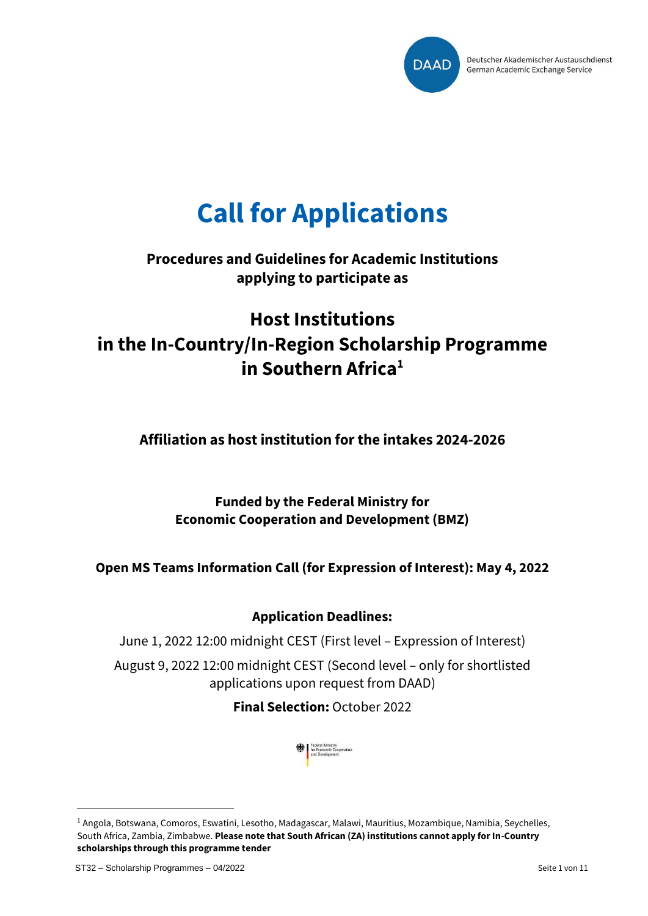

# **Call for Applications**

## **Procedures and Guidelines for Academic Institutions applying to participate as**

# **Host Institutions in the In-Country/In-Region Scholarship Programme in Southern Africa<sup>1</sup>**

**Affiliation as host institution for the intakes 2024-2026**

**Funded by the Federal Ministry for Economic Cooperation and Development (BMZ)**

**Open MS Teams Information Call (for Expression of Interest): May 4, 2022**

### **Application Deadlines:**

June 1, 2022 12:00 midnight CEST (First level – Expression of Interest)

August 9, 2022 12:00 midnight CEST (Second level – only for shortlisted applications upon request from DAAD)

**Final Selection:** October 2022



<sup>1</sup> Angola, Botswana, Comoros, Eswatini, Lesotho, Madagascar, Malawi, Mauritius, Mozambique, Namibia, Seychelles, South Africa, Zambia, Zimbabwe. **Please note that South African (ZA) institutions cannot apply for In-Country scholarships through this programme tender**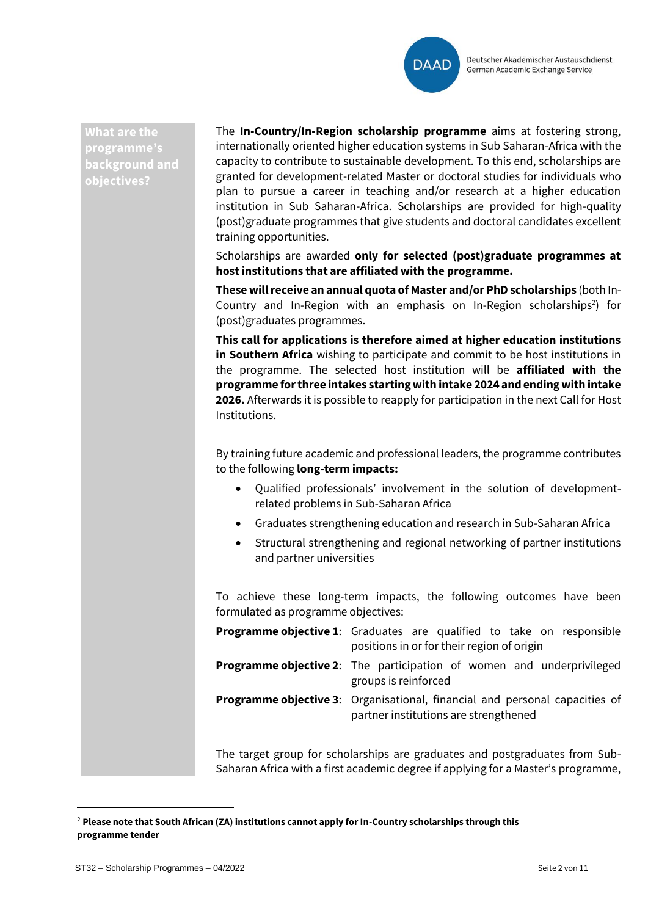

**What are the programme's background and objectives?**

The **In-Country/In-Region scholarship programme** aims at fostering strong, internationally oriented higher education systems in Sub Saharan-Africa with the capacity to contribute to sustainable development. To this end, scholarships are granted for development-related Master or doctoral studies for individuals who plan to pursue a career in teaching and/or research at a higher education institution in Sub Saharan-Africa. Scholarships are provided for high-quality (post)graduate programmes that give students and doctoral candidates excellent training opportunities.

Scholarships are awarded **only for selected (post)graduate programmes at host institutions that are affiliated with the programme.**

**These will receive an annual quota of Master and/or PhD scholarships** (both In-Country and In-Region with an emphasis on In-Region scholarships<sup>2</sup>) for (post)graduates programmes.

**This call for applications is therefore aimed at higher education institutions in Southern Africa** wishing to participate and commit to be host institutions in the programme. The selected host institution will be **affiliated with the programme for three intakes starting with intake 2024 and ending with intake 2026.** Afterwards it is possible to reapply for participation in the next Call for Host Institutions.

By training future academic and professional leaders, the programme contributes to the following **long-term impacts:**

- Qualified professionals' involvement in the solution of developmentrelated problems in Sub-Saharan Africa
- Graduates strengthening education and research in Sub-Saharan Africa
- Structural strengthening and regional networking of partner institutions and partner universities

To achieve these long-term impacts, the following outcomes have been formulated as programme objectives:

| <b>Programme objective 1:</b> Graduates are qualified to take on responsible<br>positions in or for their region of origin  |
|-----------------------------------------------------------------------------------------------------------------------------|
| <b>Programme objective 2:</b> The participation of women and underprivileged<br>groups is reinforced                        |
| <b>Programme objective 3:</b> Organisational, financial and personal capacities of<br>partner institutions are strengthened |

The target group for scholarships are graduates and postgraduates from Sub-Saharan Africa with a first academic degree if applying for a Master's programme,

<sup>2</sup> **Please note that South African (ZA) institutions cannot apply for In-Country scholarships through this programme tender**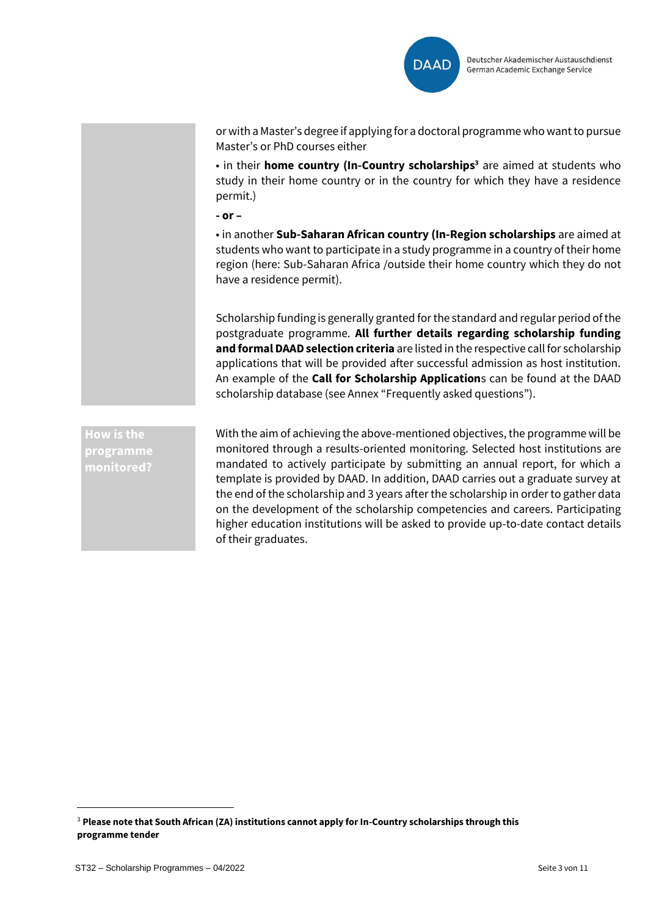

or with a Master's degree if applying for a doctoral programme who want to pursue Master's or PhD courses either

• in their **home country (In-Country scholarships<sup>3</sup>** are aimed at students who study in their home country or in the country for which they have a residence permit.)

**- or –**

• in another **Sub-Saharan African country (In-Region scholarships** are aimed at students who want to participate in a study programme in a country of their home region (here: Sub-Saharan Africa /outside their home country which they do not have a residence permit).

Scholarship funding is generally granted for the standard and regular period of the postgraduate programme. **All further details regarding scholarship funding and formal DAAD selection criteria** are listed in the respective call for scholarship applications that will be provided after successful admission as host institution. An example of the **Call for Scholarship Application**s can be found at the DAAD scholarship database (see Annex "Frequently asked questions").

**How is the programme monitored?** With the aim of achieving the above-mentioned objectives, the programme will be monitored through a results-oriented monitoring. Selected host institutions are mandated to actively participate by submitting an annual report, for which a template is provided by DAAD. In addition, DAAD carries out a graduate survey at the end of the scholarship and 3 years after the scholarship in order to gather data on the development of the scholarship competencies and careers. Participating higher education institutions will be asked to provide up-to-date contact details of their graduates.

<sup>3</sup> **Please note that South African (ZA) institutions cannot apply for In-Country scholarships through this programme tender**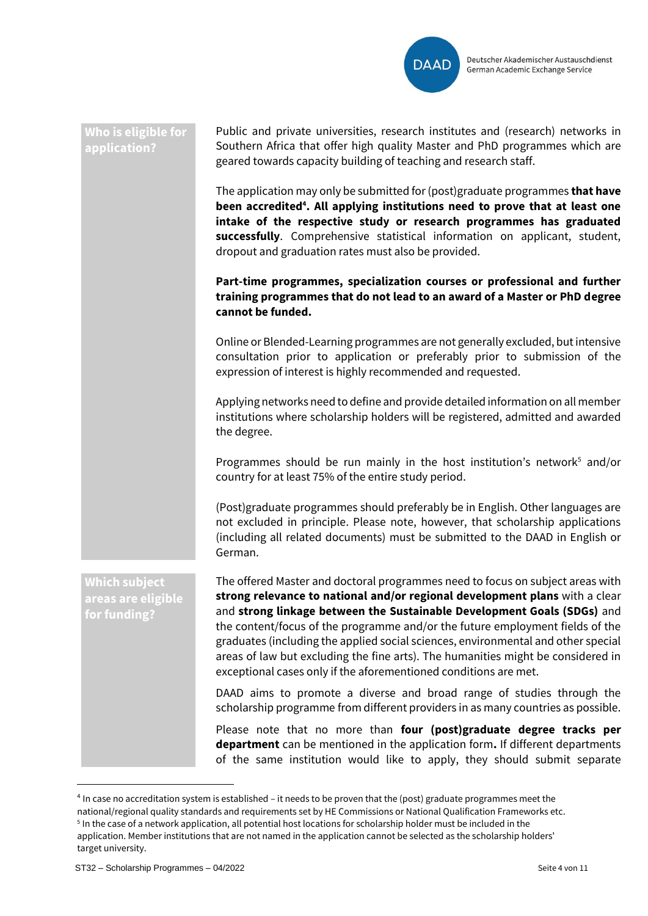

#### **Who is eligible for application?**

Public and private universities, research institutes and (research) networks in Southern Africa that offer high quality Master and PhD programmes which are geared towards capacity building of teaching and research staff.

The application may only be submitted for (post)graduate programmes **that have been accredited<sup>4</sup> . All applying institutions need to prove that at least one intake of the respective study or research programmes has graduated successfully**. Comprehensive statistical information on applicant, student, dropout and graduation rates must also be provided.

**Part-time programmes, specialization courses or professional and further training programmes that do not lead to an award of a Master or PhD degree cannot be funded.**

Online or Blended-Learning programmes are not generally excluded, but intensive consultation prior to application or preferably prior to submission of the expression of interest is highly recommended and requested.

Applying networks need to define and provide detailed information on all member institutions where scholarship holders will be registered, admitted and awarded the degree.

Programmes should be run mainly in the host institution's network<sup>5</sup> and/or country for at least 75% of the entire study period.

(Post)graduate programmes should preferably be in English. Other languages are not excluded in principle. Please note, however, that scholarship applications (including all related documents) must be submitted to the DAAD in English or German.

**Which subject areas are eligible for funding?**

The offered Master and doctoral programmes need to focus on subject areas with **strong relevance to national and/or regional development plans** with a clear and **strong linkage between the Sustainable Development Goals (SDGs)** and the content/focus of the programme and/or the future employment fields of the graduates (including the applied social sciences, environmental and other special areas of law but excluding the fine arts). The humanities might be considered in exceptional cases only if the aforementioned conditions are met.

DAAD aims to promote a diverse and broad range of studies through the scholarship programme from different providers in as many countries as possible.

Please note that no more than **four (post)graduate degree tracks per department** can be mentioned in the application form**.** If different departments of the same institution would like to apply, they should submit separate

<sup>&</sup>lt;sup>4</sup> In case no accreditation system is established – it needs to be proven that the (post) graduate programmes meet the

national/regional quality standards and requirements set by HE Commissions or National Qualification Frameworks etc.

<sup>5</sup> In the case of a network application, all potential host locations for scholarship holder must be included in the application. Member institutions that are not named in the application cannot be selected as the scholarship holders' target university.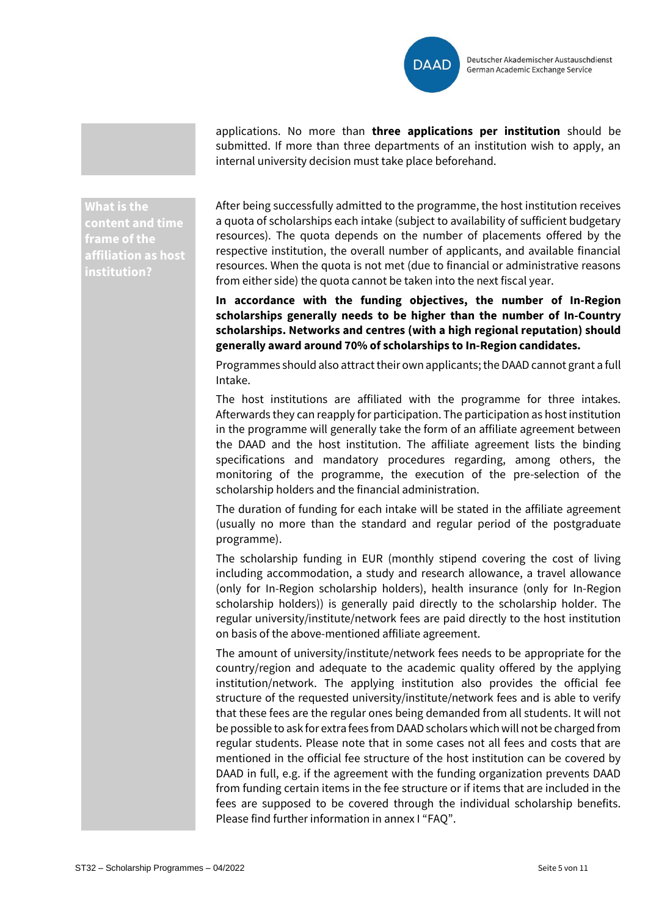

applications. No more than **three applications per institution** should be submitted. If more than three departments of an institution wish to apply, an internal university decision must take place beforehand.

**What is the content and time frame of the affiliation as host institution?**

After being successfully admitted to the programme, the host institution receives a quota of scholarships each intake (subject to availability of sufficient budgetary resources). The quota depends on the number of placements offered by the respective institution, the overall number of applicants, and available financial resources. When the quota is not met (due to financial or administrative reasons from either side) the quota cannot be taken into the next fiscal year.

**In accordance with the funding objectives, the number of In-Region scholarships generally needs to be higher than the number of In-Country scholarships. Networks and centres (with a high regional reputation) should generally award around 70% of scholarships to In-Region candidates.**

Programmes should also attract their own applicants;the DAAD cannot grant a full Intake.

The host institutions are affiliated with the programme for three intakes. Afterwards they can reapply for participation. The participation as host institution in the programme will generally take the form of an affiliate agreement between the DAAD and the host institution. The affiliate agreement lists the binding specifications and mandatory procedures regarding, among others, the monitoring of the programme, the execution of the pre-selection of the scholarship holders and the financial administration.

The duration of funding for each intake will be stated in the affiliate agreement (usually no more than the standard and regular period of the postgraduate programme).

The scholarship funding in EUR (monthly stipend covering the cost of living including accommodation, a study and research allowance, a travel allowance (only for In-Region scholarship holders), health insurance (only for In-Region scholarship holders)) is generally paid directly to the scholarship holder. The regular university/institute/network fees are paid directly to the host institution on basis of the above-mentioned affiliate agreement.

The amount of university/institute/network fees needs to be appropriate for the country/region and adequate to the academic quality offered by the applying institution/network. The applying institution also provides the official fee structure of the requested university/institute/network fees and is able to verify that these fees are the regular ones being demanded from all students. It will not be possible to ask for extra fees from DAAD scholars which will not be charged from regular students. Please note that in some cases not all fees and costs that are mentioned in the official fee structure of the host institution can be covered by DAAD in full, e.g. if the agreement with the funding organization prevents DAAD from funding certain items in the fee structure or if items that are included in the fees are supposed to be covered through the individual scholarship benefits. Please find further information in annex I "FAQ".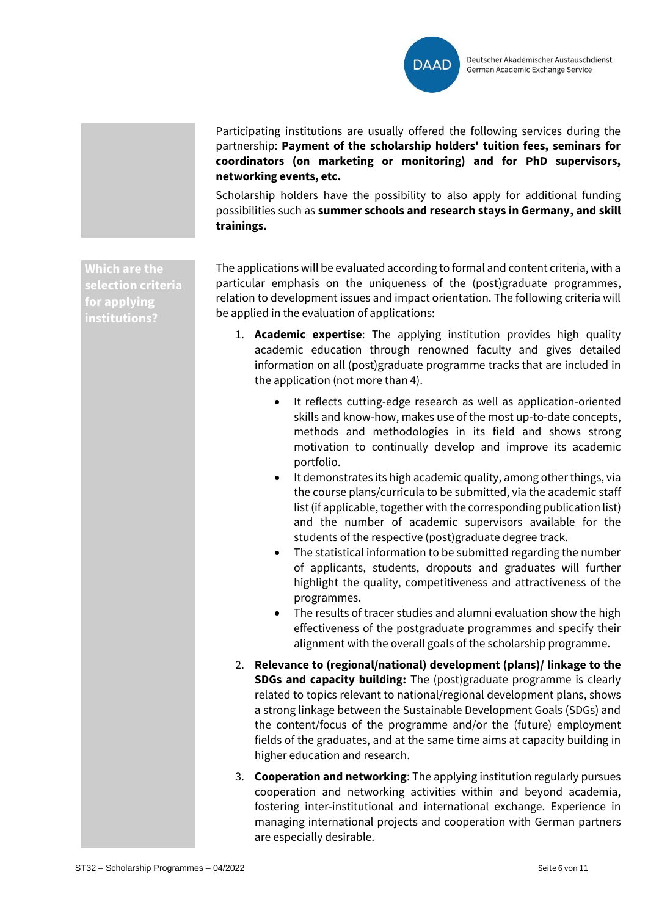

Participating institutions are usually offered the following services during the partnership: **Payment of the scholarship holders' tuition fees, seminars for coordinators (on marketing or monitoring) and for PhD supervisors, networking events, etc.** 

Scholarship holders have the possibility to also apply for additional funding possibilities such as **summer schools and research stays in Germany, and skill trainings.**

**Which are the selection criteria for applying institutions?**

The applications will be evaluated according to formal and content criteria, with a particular emphasis on the uniqueness of the (post)graduate programmes, relation to development issues and impact orientation. The following criteria will be applied in the evaluation of applications:

- 1. **Academic expertise**: The applying institution provides high quality academic education through renowned faculty and gives detailed information on all (post)graduate programme tracks that are included in the application (not more than 4).
	- It reflects cutting-edge research as well as application-oriented skills and know-how, makes use of the most up-to-date concepts, methods and methodologies in its field and shows strong motivation to continually develop and improve its academic portfolio.
	- It demonstrates its high academic quality, among other things, via the course plans/curricula to be submitted, via the academic staff list (if applicable, together with the corresponding publication list) and the number of academic supervisors available for the students of the respective (post)graduate degree track.
	- The statistical information to be submitted regarding the number of applicants, students, dropouts and graduates will further highlight the quality, competitiveness and attractiveness of the programmes.
	- The results of tracer studies and alumni evaluation show the high effectiveness of the postgraduate programmes and specify their alignment with the overall goals of the scholarship programme.
- 2. **Relevance to (regional/national) development (plans)/ linkage to the SDGs and capacity building:** The (post)graduate programme is clearly related to topics relevant to national/regional development plans, shows a strong linkage between the Sustainable Development Goals (SDGs) and the content/focus of the programme and/or the (future) employment fields of the graduates, and at the same time aims at capacity building in higher education and research.
- 3. **Cooperation and networking**: The applying institution regularly pursues cooperation and networking activities within and beyond academia, fostering inter-institutional and international exchange. Experience in managing international projects and cooperation with German partners are especially desirable.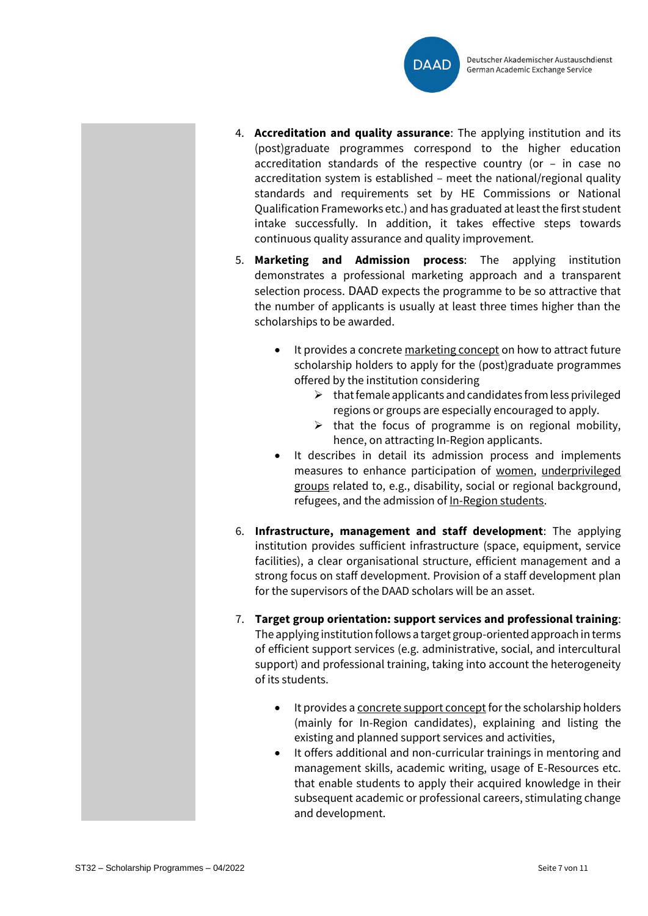

- 4. **Accreditation and quality assurance**: The applying institution and its (post)graduate programmes correspond to the higher education accreditation standards of the respective country (or – in case no accreditation system is established – meet the national/regional quality standards and requirements set by HE Commissions or National Qualification Frameworks etc.) and has graduated at least the first student intake successfully. In addition, it takes effective steps towards continuous quality assurance and quality improvement.
- 5. **Marketing and Admission process**: The applying institution demonstrates a professional marketing approach and a transparent selection process. DAAD expects the programme to be so attractive that the number of applicants is usually at least three times higher than the scholarships to be awarded.
	- It provides a concrete marketing concept on how to attract future scholarship holders to apply for the (post)graduate programmes offered by the institution considering
		- $\triangleright$  that female applicants and candidates from less privileged regions or groups are especially encouraged to apply.
		- $\triangleright$  that the focus of programme is on regional mobility, hence, on attracting In-Region applicants.
	- It describes in detail its admission process and implements measures to enhance participation of women, underprivileged groups related to, e.g., disability, social or regional background, refugees, and the admission of In-Region students.
- 6. **Infrastructure, management and staff development**: The applying institution provides sufficient infrastructure (space, equipment, service facilities), a clear organisational structure, efficient management and a strong focus on staff development. Provision of a staff development plan for the supervisors of the DAAD scholars will be an asset.
- 7. **Target group orientation: support services and professional training**: The applying institution follows a target group-oriented approach in terms of efficient support services (e.g. administrative, social, and intercultural support) and professional training, taking into account the heterogeneity of its students.
	- It provides a concrete support concept for the scholarship holders (mainly for In-Region candidates), explaining and listing the existing and planned support services and activities,
	- It offers additional and non-curricular trainings in mentoring and management skills, academic writing, usage of E-Resources etc. that enable students to apply their acquired knowledge in their subsequent academic or professional careers, stimulating change and development.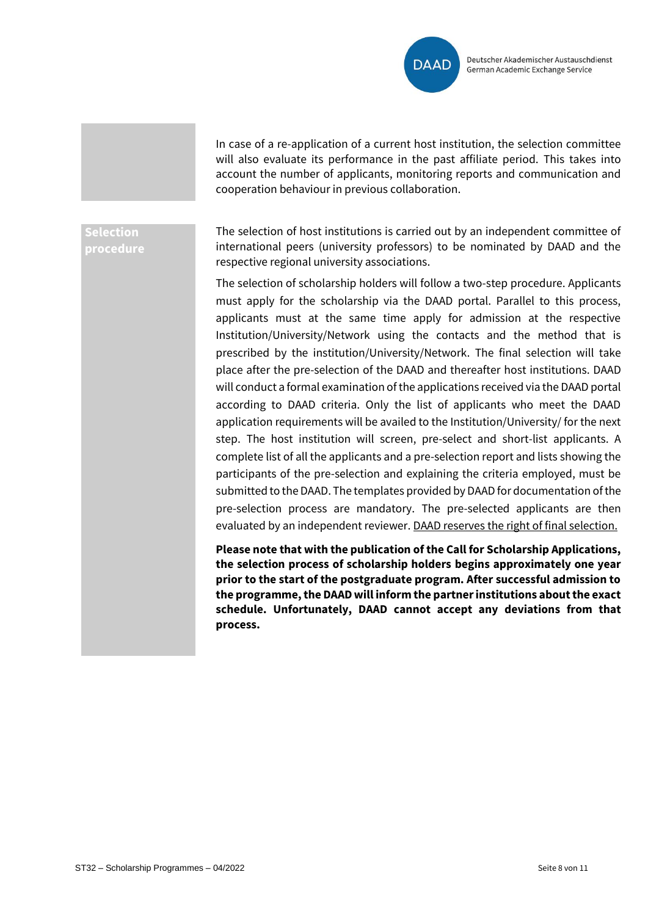

In case of a re-application of a current host institution, the selection committee will also evaluate its performance in the past affiliate period. This takes into account the number of applicants, monitoring reports and communication and cooperation behaviour in previous collaboration.

#### **Selection procedure**

The selection of host institutions is carried out by an independent committee of international peers (university professors) to be nominated by DAAD and the respective regional university associations.

The selection of scholarship holders will follow a two-step procedure. Applicants must apply for the scholarship via the DAAD portal. Parallel to this process, applicants must at the same time apply for admission at the respective Institution/University/Network using the contacts and the method that is prescribed by the institution/University/Network. The final selection will take place after the pre-selection of the DAAD and thereafter host institutions. DAAD will conduct a formal examination of the applications received via the DAAD portal according to DAAD criteria. Only the list of applicants who meet the DAAD application requirements will be availed to the Institution/University/ for the next step. The host institution will screen, pre-select and short-list applicants. A complete list of all the applicants and a pre-selection report and lists showing the participants of the pre-selection and explaining the criteria employed, must be submitted to the DAAD. The templates provided by DAAD for documentation of the pre-selection process are mandatory. The pre-selected applicants are then evaluated by an independent reviewer. DAAD reserves the right of final selection.

**Please note that with the publication of the Call for Scholarship Applications, the selection process of scholarship holders begins approximately one year prior to the start of the postgraduate program. After successful admission to the programme, the DAAD will inform the partner institutions about the exact schedule. Unfortunately, DAAD cannot accept any deviations from that process.**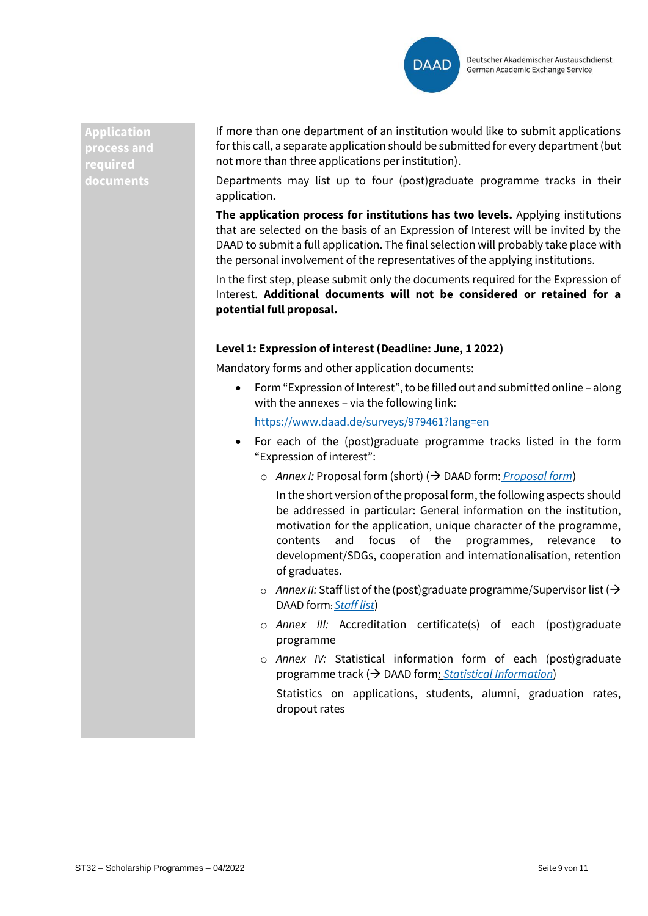

**Application process and required documents**

If more than one department of an institution would like to submit applications for this call, a separate application should be submitted for every department (but not more than three applications per institution).

Departments may list up to four (post)graduate programme tracks in their application.

**The application process for institutions has two levels.** Applying institutions that are selected on the basis of an Expression of Interest will be invited by the DAAD to submit a full application. The final selection will probably take place with the personal involvement of the representatives of the applying institutions.

In the first step, please submit only the documents required for the Expression of Interest. **Additional documents will not be considered or retained for a potential full proposal.**

#### **Level 1: Expression of interest (Deadline: June, 1 2022)**

Mandatory forms and other application documents:

• Form "Expression of Interest", to be filled out and submitted online – along with the annexes – via the following link:

<https://www.daad.de/surveys/979461?lang=en>

- For each of the (post)graduate programme tracks listed in the form "Expression of interest":
	- o *Annex I:* Proposal form (short) (→ DAAD form: *[Proposal form](http://static.daad.de/media/daad_de/pdfs_nicht_barrierefrei/infos-services-fuer-hochschulen/expression_of_interest_-_proposal_form_short.doc)*)

In the short version of the proposal form, the following aspects should be addressed in particular: General information on the institution, motivation for the application, unique character of the programme, contents and focus of the programmes, relevance to development/SDGs, cooperation and internationalisation, retention of graduates.

- o *Annex II:* Staff list of the (post)graduate programme/Supervisor list (→ DAAD form: *[Staff list](http://static.daad.de/media/daad_de/pdfs_nicht_barrierefrei/infos-services-fuer-hochschulen/expression_of_interest_-_staff_list.xls)*)
- o *Annex III:* Accreditation certificate(s) of each (post)graduate programme
- o *Annex IV:* Statistical information form of each (post)graduate programme track (→ DAAD form: *[Statistical Information](http://static.daad.de/media/daad_de/pdfs_nicht_barrierefrei/infos-services-fuer-hochschulen/expression_of_interest_-_statistical_information_form.xls)*)

Statistics on applications, students, alumni, graduation rates, dropout rates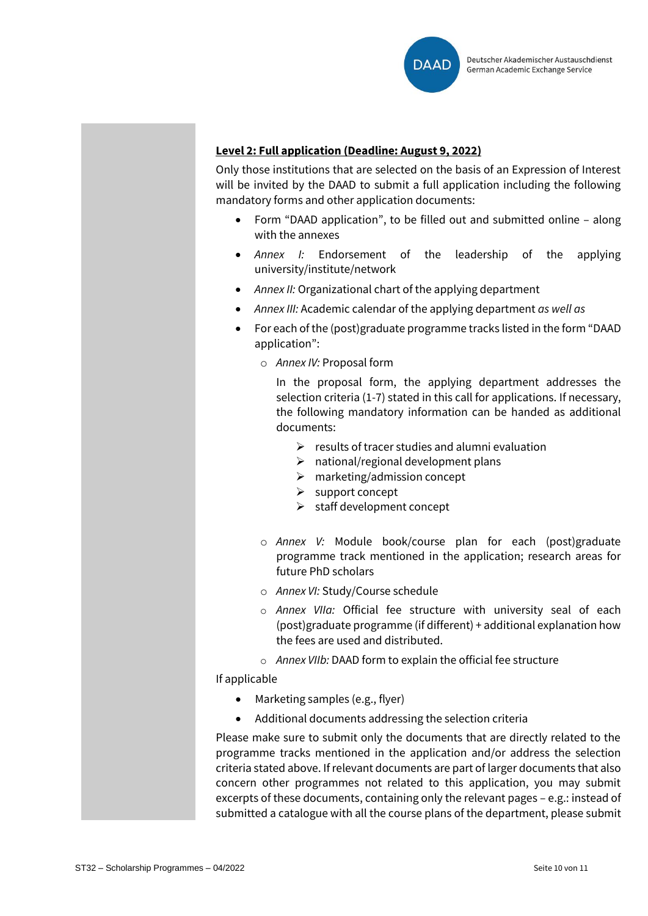

#### **Level 2: Full application (Deadline: August 9, 2022)**

Only those institutions that are selected on the basis of an Expression of Interest will be invited by the DAAD to submit a full application including the following mandatory forms and other application documents:

- Form "DAAD application", to be filled out and submitted online along with the annexes
- *Annex I:* Endorsement of the leadership of the applying university/institute/network
- *Annex II:* Organizational chart of the applying department
- *Annex III:* Academic calendar of the applying department *as well as*
- For each of the (post)graduate programme tracks listed in the form "DAAD application":
	- o *Annex IV:* Proposal form

In the proposal form, the applying department addresses the selection criteria (1-7) stated in this call for applications. If necessary, the following mandatory information can be handed as additional documents:

- $\triangleright$  results of tracer studies and alumni evaluation
- $\triangleright$  national/regional development plans
- $\triangleright$  marketing/admission concept
- ➢ support concept
- ➢ staff development concept
- o *Annex V:* Module book/course plan for each (post)graduate programme track mentioned in the application; research areas for future PhD scholars
- o *Annex VI:* Study/Course schedule
- o *Annex VIIa:* Official fee structure with university seal of each (post)graduate programme (if different) + additional explanation how the fees are used and distributed.
- o *Annex VIIb:* DAAD form to explain the official fee structure

If applicable

- Marketing samples (e.g., flyer)
- Additional documents addressing the selection criteria

Please make sure to submit only the documents that are directly related to the programme tracks mentioned in the application and/or address the selection criteria stated above. If relevant documents are part of larger documents that also concern other programmes not related to this application, you may submit excerpts of these documents, containing only the relevant pages – e.g.: instead of submitted a catalogue with all the course plans of the department, please submit